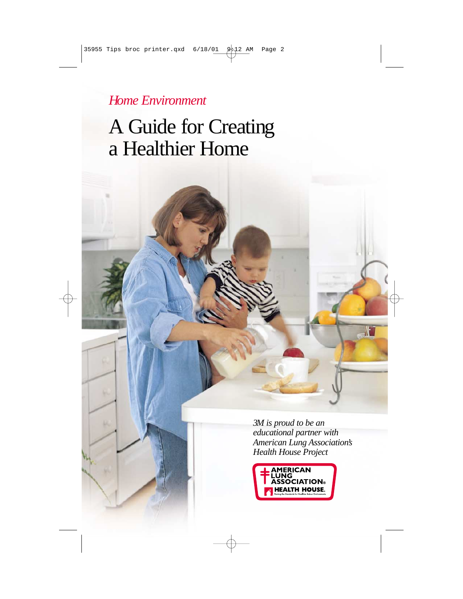*Home Environment*

# A Guide for Creating a Healthier Home

*3M is proud to be an educational partner with American Lung Association's Health House Project*

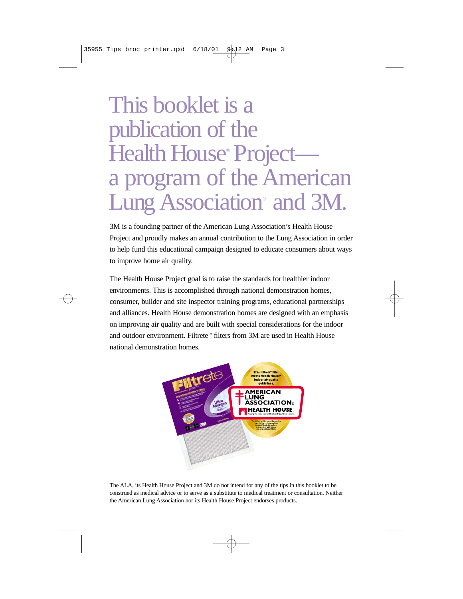# This booklet is a publication of the Health House<sup>®</sup> Projecta program of the American Lung Association<sup>®</sup> and 3M.

3M is a founding partner of the American Lung Association's Health House Project and proudly makes an annual contribution to the Lung Association in order to help fund this educational campaign designed to educate consumers about ways to improve home air quality.

The Health House Project goal is to raise the standards for healthier indoor environments. This is accomplished through national demonstration homes, consumer, builder and site inspector training programs, educational partnerships and alliances. Health House demonstration homes are designed with an emphasis on improving air quality and are built with special considerations for the indoor and outdoor environment. Filtrete™ filters from 3M are used in Health House national demonstration homes.



The ALA, its Health House Project and 3M do not intend for any of the tips in this booklet to be construed as medical advice or to serve as a substitute to medical treatment or consultation. Neither the American Lung Association nor its Health House Project endorses products.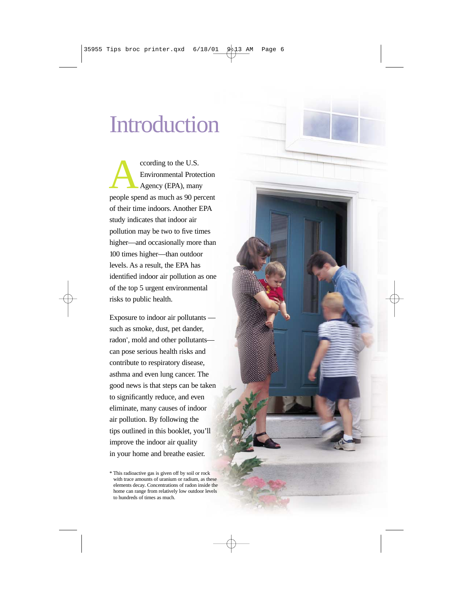# Introduction

cording to the U.S.<br>
Environmental Protection<br>
Agency (EPA), many<br>
people spend as much as 90 percent Environmental Protection Agency (EPA), many of their time indoors. Another EPA study indicates that indoor air pollution may be two to five times higher—and occasionally more than 100 times higher—than outdoor levels. As a result, the EPA has identified indoor air pollution as one of the top 5 urgent environmental risks to public health.

Exposure to indoor air pollutants such as smoke, dust, pet dander, radon\* , mold and other pollutants can pose serious health risks and contribute to respiratory disease, asthma and even lung cancer. The good news is that steps can be taken to significantly reduce, and even eliminate, many causes of indoor air pollution. By following the tips outlined in this booklet, you'll improve the indoor air quality in your home and breathe easier.

<sup>\*</sup> This radioactive gas is given off by soil or rock with trace amounts of uranium or radium, as these elements decay. Concentrations of radon inside the home can range from relatively low outdoor levels to hundreds of times as much.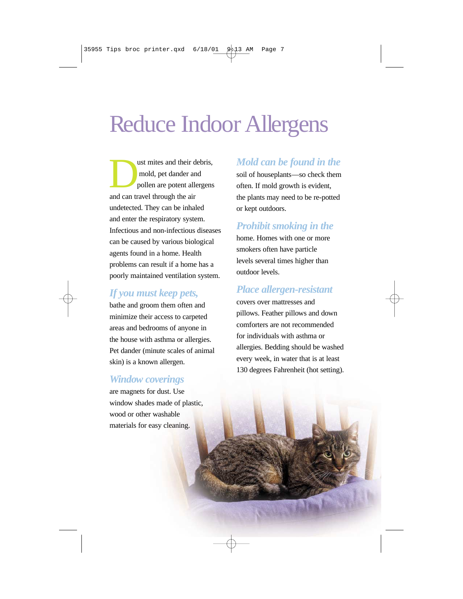# Reduce Indoor Allergens

ust mites and their debris,<br>mold, pet dander and<br>pollen are potent allergens mold, pet dander and pollen are potent allergens and can travel through the air undetected. They can be inhaled and enter the respiratory system. Infectious and non-infectious diseases can be caused by various biological agents found in a home. Health problems can result if a home has a poorly maintained ventilation system.

## *If you must keep pets,*

bathe and groom them often and minimize their access to carpeted areas and bedrooms of anyone in the house with asthma or allergies. Pet dander (minute scales of animal skin) is a known allergen.

#### *Window coverings*

are magnets for dust. Use window shades made of plastic, wood or other washable materials for easy cleaning.

### *Mold can be found in the*

soil of houseplants—so check them often. If mold growth is evident, the plants may need to be re-potted or kept outdoors.

# *Prohibit smoking in the*

home. Homes with one or more smokers often have particle levels several times higher than outdoor levels.

## *Place allergen-resistant*

covers over mattresses and pillows. Feather pillows and down comforters are not recommended for individuals with asthma or allergies. Bedding should be washed every week, in water that is at least 130 degrees Fahrenheit (hot setting).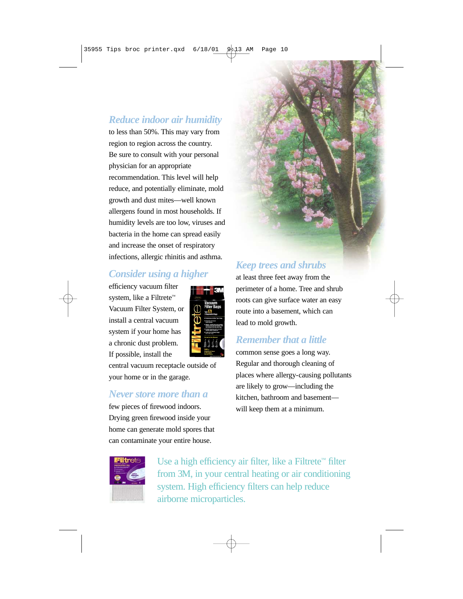## *Reduce indoor air humidity*

to less than 50%. This may vary from region to region across the country. Be sure to consult with your personal physician for an appropriate recommendation. This level will help reduce, and potentially eliminate, mold growth and dust mites—well known allergens found in most households. If humidity levels are too low, viruses and bacteria in the home can spread easily and increase the onset of respiratory infections, allergic rhinitis and asthma.

# *Consider using a higher*

efficiency vacuum filter system, like a Filtrete™ Vacuum Filter System, or install a central vacuum system if your home has a chronic dust problem. If possible, install the



central vacuum receptacle outside of your home or in the garage.

#### *Never store more than a*

few pieces of firewood indoors. Drying green firewood inside your home can generate mold spores that can contaminate your entire house.

# *Keep trees and shrubs*

at least three feet away from the perimeter of a home. Tree and shrub roots can give surface water an easy route into a basement, which can lead to mold growth.

### *Remember that a little*

common sense goes a long way. Regular and thorough cleaning of places where allergy-causing pollutants are likely to grow—including the kitchen, bathroom and basement will keep them at a minimum.



Use a high efficiency air filter, like a Filtrete™ filter from 3M, in your central heating or air conditioning system. High efficiency filters can help reduce airborne microparticles.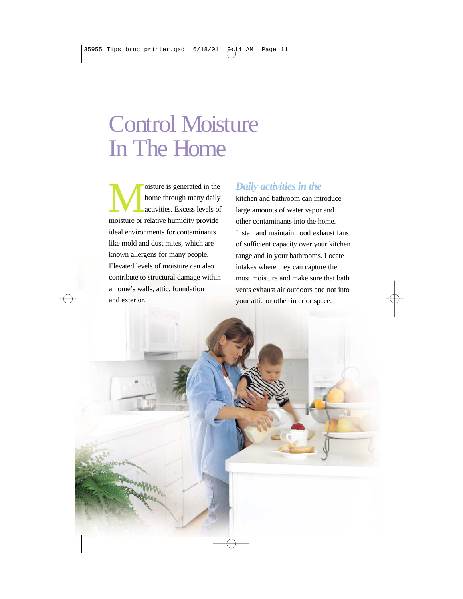# Control Moisture In The Home

oisture is generated in the<br>home through many daily<br>activities. Excess levels of<br>moisture or relative humidity provide home through many daily activities. Excess levels of moisture or relative humidity provide ideal environments for contaminants like mold and dust mites, which are known allergens for many people. Elevated levels of moisture can also contribute to structural damage within a home's walls, attic, foundation and exterior.

## *Daily activities in the*

kitchen and bathroom can introduce large amounts of water vapor and other contaminants into the home. Install and maintain hood exhaust fans of sufficient capacity over your kitchen range and in your bathrooms. Locate intakes where they can capture the most moisture and make sure that bath vents exhaust air outdoors and not into your attic or other interior space.

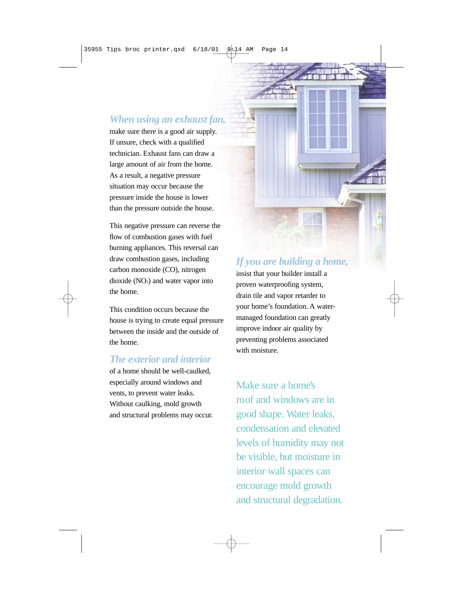#### *When using an exhaust fan,*

make sure there is a good air supply. If unsure, check with a qualified technician. Exhaust fans can draw a large amount of air from the home. As a result, a negative pressure situation may occur because the pressure inside the house is lower than the pressure outside the house.

This negative pressure can reverse the flow of combustion gases with fuel burning appliances. This reversal can draw combustion gases, including carbon monoxide (CO), nitrogen dioxide  $(NO<sub>2</sub>)$  and water vapor into the home.

This condition occurs because the house is trying to create equal pressure between the inside and the outside of the home.

#### *The exterior and interior*

of a home should be well-caulked, especially around windows and vents, to prevent water leaks. Without caulking, mold growth and structural problems may occur.

# *If you are building a home,*

insist that your builder install a proven waterproofing system, drain tile and vapor retarder to your home's foundation. A watermanaged foundation can greatly improve indoor air quality by preventing problems associated with moisture.

Make sure a home's roof and windows are in good shape. Water leaks, condensation and elevated levels of humidity may not be visible, but moisture in interior wall spaces can encourage mold growth and structural degradation.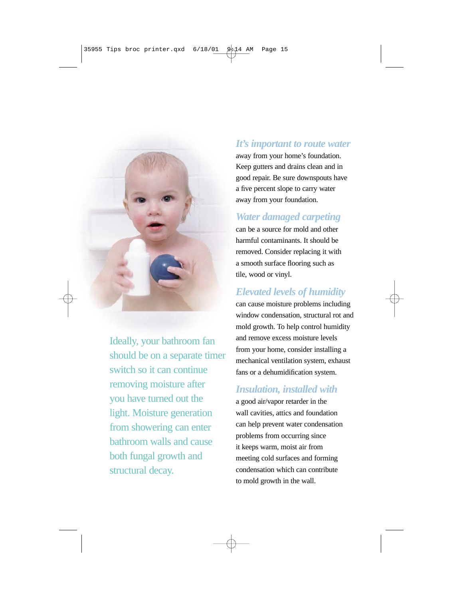

Ideally, your bathroom fan should be on a separate timer switch so it can continue removing moisture after you have turned out the light. Moisture generation from showering can enter bathroom walls and cause both fungal growth and structural decay.

#### *It's important to route water*

away from your home's foundation. Keep gutters and drains clean and in good repair. Be sure downspouts have a five percent slope to carry water away from your foundation.

## *Water damaged carpeting*

can be a source for mold and other harmful contaminants. It should be removed. Consider replacing it with a smooth surface flooring such as tile, wood or vinyl.

# *Elevated levels of humidity*

can cause moisture problems including window condensation, structural rot and mold growth. To help control humidity and remove excess moisture levels from your home, consider installing a mechanical ventilation system, exhaust fans or a dehumidification system.

### *Insulation, installed with*

a good air/vapor retarder in the wall cavities, attics and foundation can help prevent water condensation problems from occurring since it keeps warm, moist air from meeting cold surfaces and forming condensation which can contribute to mold growth in the wall.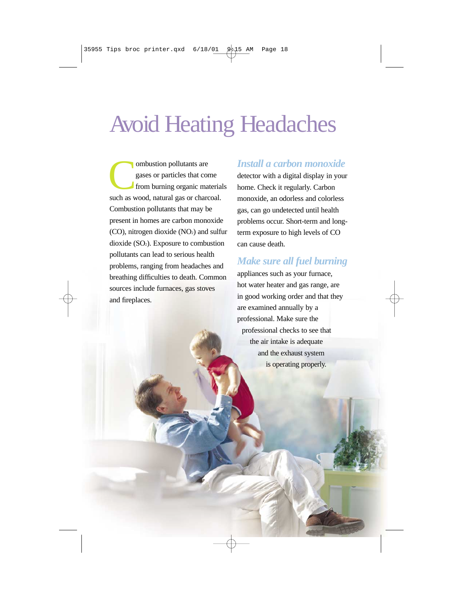# Avoid Heating Headaches

ombustion pollutants are<br>gases or particles that cor<br>from burning organic man gases or particles that come from burning organic materials such as wood, natural gas or charcoal. Combustion pollutants that may be present in homes are carbon monoxide  $(CO)$ , nitrogen dioxide  $(NO<sub>2</sub>)$  and sulfur dioxide  $(SO<sub>2</sub>)$ . Exposure to combustion pollutants can lead to serious health problems, ranging from headaches and breathing difficulties to death. Common sources include furnaces, gas stoves and fireplaces.

#### *Install a carbon monoxide*

detector with a digital display in your home. Check it regularly. Carbon monoxide, an odorless and colorless gas, can go undetected until health problems occur. Short-term and longterm exposure to high levels of CO can cause death.

## *Make sure all fuel burning*

appliances such as your furnace, hot water heater and gas range, are in good working order and that they are examined annually by a professional. Make sure the professional checks to see that the air intake is adequate and the exhaust system is operating properly.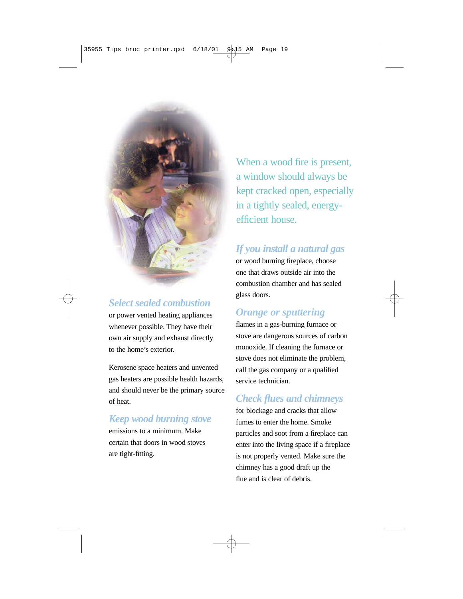

### *Select sealed combustion*

or power vented heating appliances whenever possible. They have their own air supply and exhaust directly to the home's exterior.

Kerosene space heaters and unvented gas heaters are possible health hazards, and should never be the primary source of heat.

# *Keep wood burning stove*

emissions to a minimum. Make certain that doors in wood stoves are tight-fitting.

When a wood fire is present. a window should always be kept cracked open, especially in a tightly sealed, energyefficient house.

# *If you install a natural gas*

or wood burning fireplace, choose one that draws outside air into the combustion chamber and has sealed glass doors.

# *Orange or sputtering*

flames in a gas-burning furnace or stove are dangerous sources of carbon monoxide. If cleaning the furnace or stove does not eliminate the problem, call the gas company or a qualified service technician.

# *Check flues and chimneys*

for blockage and cracks that allow fumes to enter the home. Smoke particles and soot from a fireplace can enter into the living space if a fireplace is not properly vented. Make sure the chimney has a good draft up the flue and is clear of debris.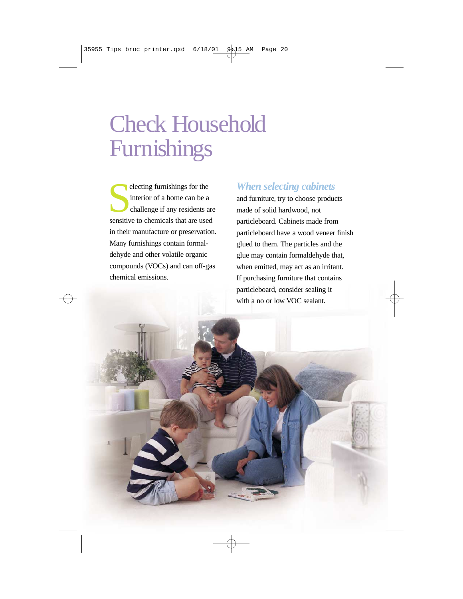# Check Household Furnishings

electing furnishings for the interior of a home can be a challenge if any residents are sensitive to chemicals that are used electing furnishings for the interior of a home can be a challenge if any residents are in their manufacture or preservation. Many furnishings contain formaldehyde and other volatile organic compounds (VOCs) and can off-gas chemical emissions.

#### *When selecting cabinets*

and furniture, try to choose products made of solid hardwood, not particleboard. Cabinets made from particleboard have a wood veneer finish glued to them. The particles and the glue may contain formaldehyde that, when emitted, may act as an irritant. If purchasing furniture that contains particleboard, consider sealing it with a no or low VOC sealant.

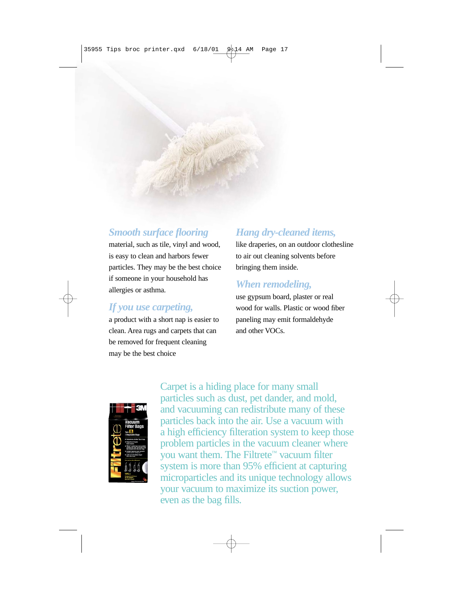# *Smooth surface flooring*

material, such as tile, vinyl and wood, is easy to clean and harbors fewer particles. They may be the best choice if someone in your household has allergies or asthma.

#### *If you use carpeting,*

a product with a short nap is easier to clean. Area rugs and carpets that can be removed for frequent cleaning may be the best choice

# *Hang dry-cleaned items,*

like draperies, on an outdoor clothesline to air out cleaning solvents before bringing them inside.

#### *When remodeling,*

use gypsum board, plaster or real wood for walls. Plastic or wood fiber paneling may emit formaldehyde and other VOCs.



Carpet is a hiding place for many small particles such as dust, pet dander, and mold, and vacuuming can redistribute many of these particles back into the air. Use a vacuum with a high efficiency filteration system to keep those problem particles in the vacuum cleaner where you want them. The Filtrete™ vacuum filter system is more than 95% efficient at capturing microparticles and its unique technology allows your vacuum to maximize its suction power, even as the bag fills.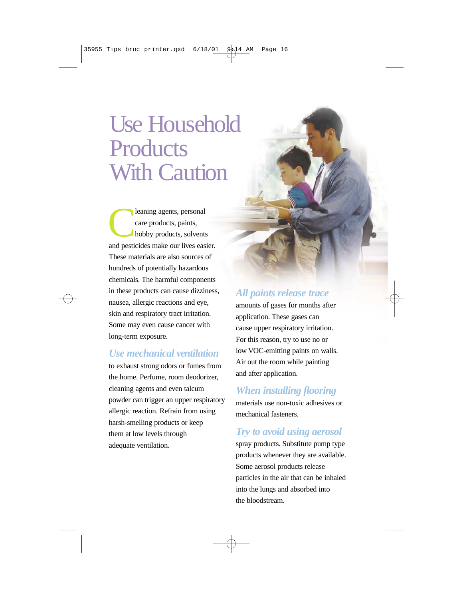# Use Household **Products** With Caution

leaning agents, personal<br>care products, paints,<br>hobby products, solvents care products, paints, hobby products, solvents and pesticides make our lives easier. These materials are also sources of hundreds of potentially hazardous chemicals. The harmful components in these products can cause dizziness, nausea, allergic reactions and eye, skin and respiratory tract irritation. Some may even cause cancer with long-term exposure.

### *Use mechanical ventilation*

to exhaust strong odors or fumes from the home. Perfume, room deodorizer, cleaning agents and even talcum powder can trigger an upper respiratory allergic reaction. Refrain from using harsh-smelling products or keep them at low levels through adequate ventilation.

# *All paints release trace*

amounts of gases for months after application. These gases can cause upper respiratory irritation. For this reason, try to use no or low VOC-emitting paints on walls. Air out the room while painting and after application.

# *When installing flooring*

materials use non-toxic adhesives or mechanical fasteners.

# *Try to avoid using aerosol*

spray products. Substitute pump type products whenever they are available. Some aerosol products release particles in the air that can be inhaled into the lungs and absorbed into the bloodstream.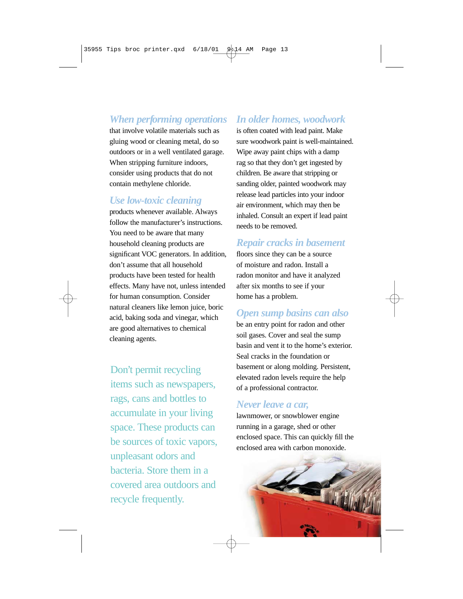### *When performing operations*

that involve volatile materials such as gluing wood or cleaning metal, do so outdoors or in a well ventilated garage. When stripping furniture indoors, consider using products that do not contain methylene chloride.

#### *Use low-toxic cleaning*

products whenever available. Always follow the manufacturer's instructions. You need to be aware that many household cleaning products are significant VOC generators. In addition, don't assume that all household products have been tested for health effects. Many have not, unless intended for human consumption. Consider natural cleaners like lemon juice, boric acid, baking soda and vinegar, which are good alternatives to chemical cleaning agents.

Don't permit recycling items such as newspapers, rags, cans and bottles to accumulate in your living space. These products can be sources of toxic vapors, unpleasant odors and bacteria. Store them in a covered area outdoors and recycle frequently.

#### *In older homes, woodwork*

is often coated with lead paint. Make sure woodwork paint is well-maintained. Wipe away paint chips with a damp rag so that they don't get ingested by children. Be aware that stripping or sanding older, painted woodwork may release lead particles into your indoor air environment, which may then be inhaled. Consult an expert if lead paint needs to be removed.

#### *Repair cracks in basement*

floors since they can be a source of moisture and radon. Install a radon monitor and have it analyzed after six months to see if your home has a problem.

#### *Open sump basins can also*

be an entry point for radon and other soil gases. Cover and seal the sump basin and vent it to the home's exterior. Seal cracks in the foundation or basement or along molding. Persistent, elevated radon levels require the help of a professional contractor.

#### *Never leave a car,*

lawnmower, or snowblower engine running in a garage, shed or other enclosed space. This can quickly fill the enclosed area with carbon monoxide.

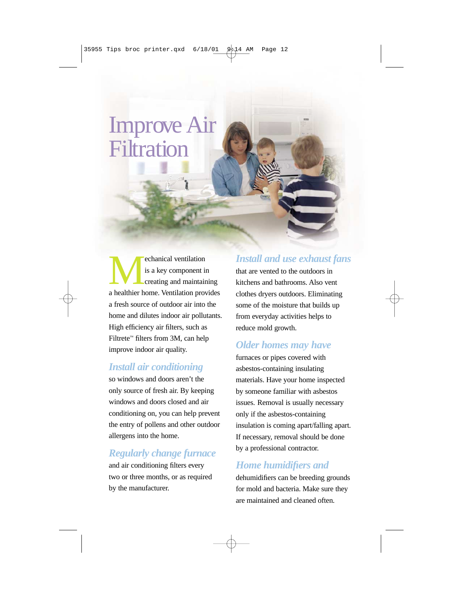# Improve Air **Filtration**

**Alternation** is a key component in creating and maintaining a healthier home. Ventilation provides is a key component in creating and maintaining a fresh source of outdoor air into the home and dilutes indoor air pollutants. High efficiency air filters, such as Filtrete™ filters from 3M, can help improve indoor air quality.

### *Install air conditioning*

so windows and doors aren't the only source of fresh air. By keeping windows and doors closed and air conditioning on, you can help prevent the entry of pollens and other outdoor allergens into the home.

# *Regularly change furnace*

and air conditioning filters every two or three months, or as required by the manufacturer.

## *Install and use exhaust fans*

that are vented to the outdoors in kitchens and bathrooms. Also vent clothes dryers outdoors. Eliminating some of the moisture that builds up from everyday activities helps to reduce mold growth.

# *Older homes may have*

furnaces or pipes covered with asbestos-containing insulating materials. Have your home inspected by someone familiar with asbestos issues. Removal is usually necessary only if the asbestos-containing insulation is coming apart/falling apart. If necessary, removal should be done by a professional contractor.

# *Home humidifiers and*

dehumidifiers can be breeding grounds for mold and bacteria. Make sure they are maintained and cleaned often.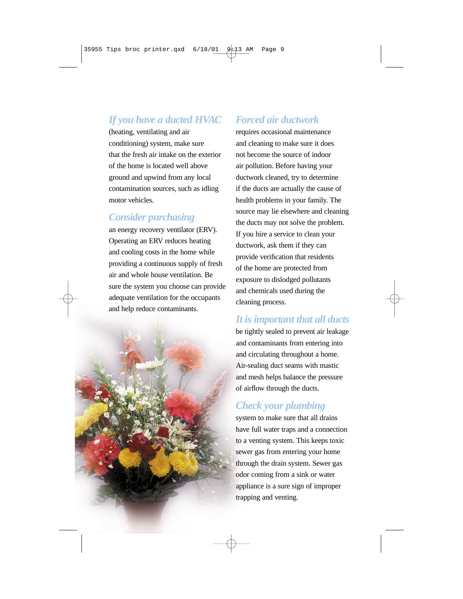# *If you have a ducted HVAC*

(heating, ventilating and air conditioning) system, make sure that the fresh air intake on the exterior of the home is located well above ground and upwind from any local contamination sources, such as idling motor vehicles.

### *Consider purchasing*

an energy recovery ventilator (ERV). Operating an ERV reduces heating and cooling costs in the home while providing a continuous supply of fresh air and whole house ventilation. Be sure the system you choose can provide adequate ventilation for the occupants and help reduce contaminants.



## *Forced air ductwork*

requires occasional maintenance and cleaning to make sure it does not become the source of indoor air pollution. Before having your ductwork cleaned, try to determine if the ducts are actually the cause of health problems in your family. The source may lie elsewhere and cleaning the ducts may not solve the problem. If you hire a service to clean your ductwork, ask them if they can provide verification that residents of the home are protected from exposure to dislodged pollutants and chemicals used during the cleaning process.

# *It is important that all ducts*

be tightly sealed to prevent air leakage and contaminants from entering into and circulating throughout a home. Air-sealing duct seams with mastic and mesh helps balance the pressure of airflow through the ducts.

# *Check your plumbing*

system to make sure that all drains have full water traps and a connection to a venting system. This keeps toxic sewer gas from entering your home through the drain system. Sewer gas odor coming from a sink or water appliance is a sure sign of improper trapping and venting.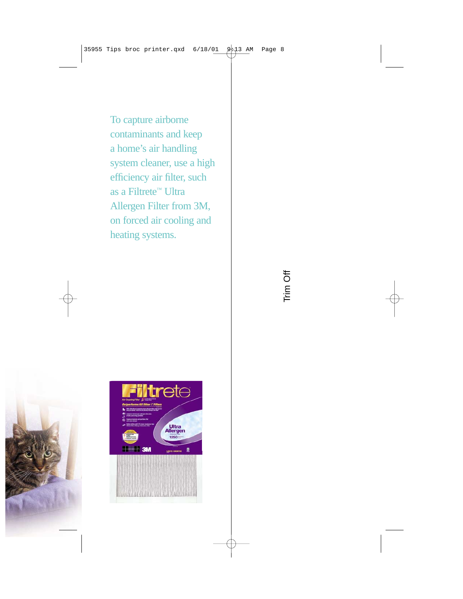To capture airborne contaminants and keep a home's air handling system cleaner, use a high efficiency air filter, such as a Filtrete™ Ultra Allergen Filter from 3M, on forced air cooling and heating systems.



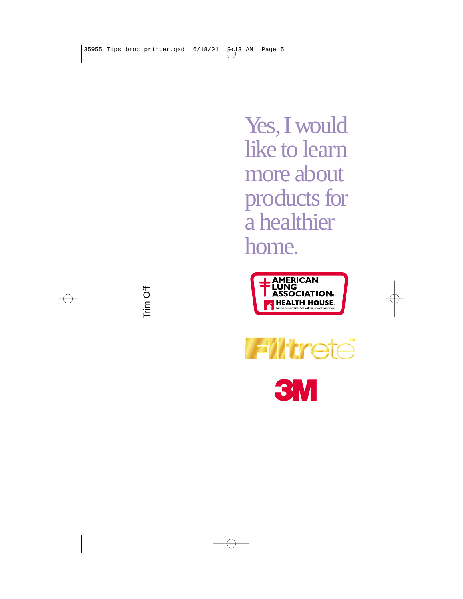Trim Off

Yes, I would like to learn more about products for a healthier home.





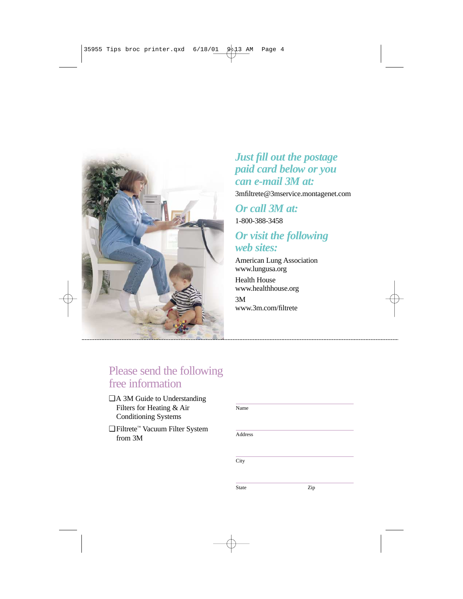

## *Just fill out the postage paid card below or you can e-mail 3M at:*

3mfiltrete@3mservice.montagenet.com

#### *Or call 3M at:* 1-800-388-3458

# *Or visit the following web sites:*

American Lung Association www.lungusa.org

Health House www.healthhouse.org

3M www.3m.com/filtrete

# Please send the following free information

- □ A 3M Guide to Understanding Filters for Heating & Air Conditioning Systems
- ❑ Filtrete™ Vacuum Filter System from 3M

Name

Address

**City** 

State **Zip**